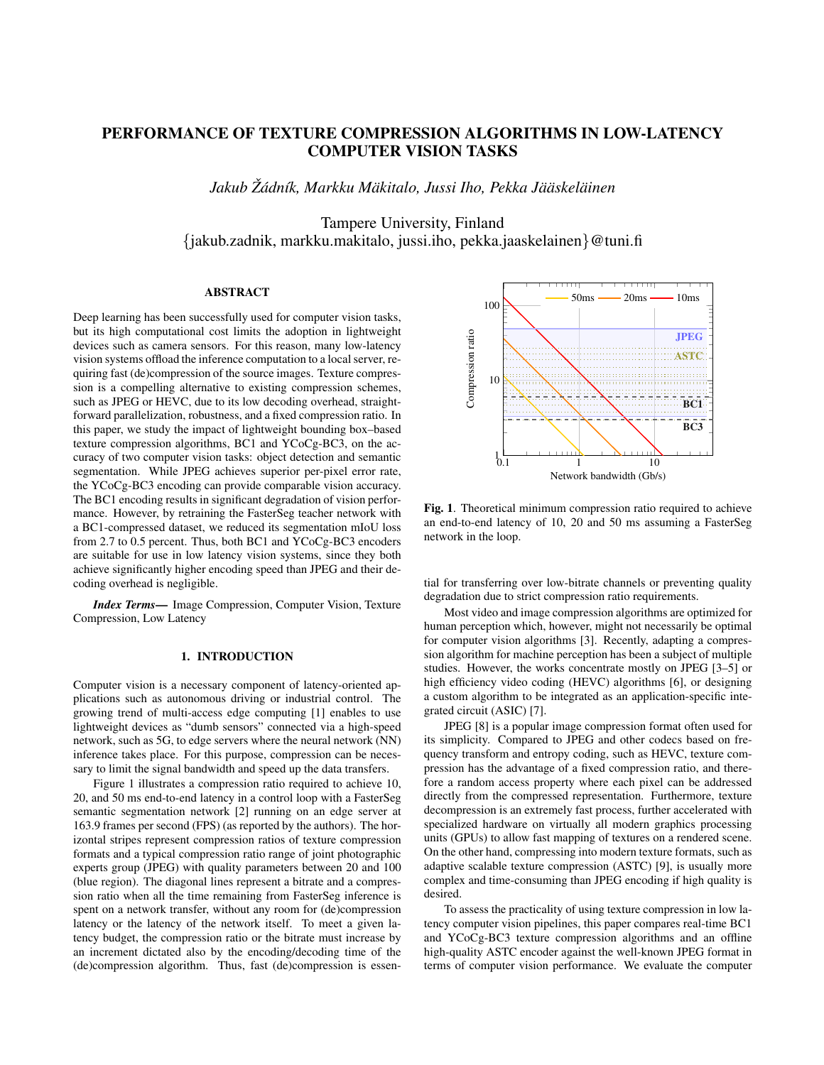# PERFORMANCE OF TEXTURE COMPRESSION ALGORITHMS IN LOW-LATENCY COMPUTER VISION TASKS

*Jakub Zˇadn ´ ´ık, Markku Makitalo, Jussi Iho, Pekka J ¨ a¨askel ¨ ainen ¨*

Tampere University, Finland

{jakub.zadnik, markku.makitalo, jussi.iho, pekka.jaaskelainen}@tuni.fi

# ABSTRACT

Deep learning has been successfully used for computer vision tasks, but its high computational cost limits the adoption in lightweight devices such as camera sensors. For this reason, many low-latency vision systems offload the inference computation to a local server, requiring fast (de)compression of the source images. Texture compression is a compelling alternative to existing compression schemes, such as JPEG or HEVC, due to its low decoding overhead, straightforward parallelization, robustness, and a fixed compression ratio. In this paper, we study the impact of lightweight bounding box–based texture compression algorithms, BC1 and YCoCg-BC3, on the accuracy of two computer vision tasks: object detection and semantic segmentation. While JPEG achieves superior per-pixel error rate, the YCoCg-BC3 encoding can provide comparable vision accuracy. The BC1 encoding results in significant degradation of vision performance. However, by retraining the FasterSeg teacher network with a BC1-compressed dataset, we reduced its segmentation mIoU loss from 2.7 to 0.5 percent. Thus, both BC1 and YCoCg-BC3 encoders are suitable for use in low latency vision systems, since they both achieve significantly higher encoding speed than JPEG and their decoding overhead is negligible.

*Index Terms*— Image Compression, Computer Vision, Texture Compression, Low Latency

# 1. INTRODUCTION

Computer vision is a necessary component of latency-oriented applications such as autonomous driving or industrial control. The growing trend of multi-access edge computing [1] enables to use lightweight devices as "dumb sensors" connected via a high-speed network, such as 5G, to edge servers where the neural network (NN) inference takes place. For this purpose, compression can be necessary to limit the signal bandwidth and speed up the data transfers.

Figure 1 illustrates a compression ratio required to achieve 10, 20, and 50 ms end-to-end latency in a control loop with a FasterSeg semantic segmentation network [2] running on an edge server at 163.9 frames per second (FPS) (as reported by the authors). The horizontal stripes represent compression ratios of texture compression formats and a typical compression ratio range of joint photographic experts group (JPEG) with quality parameters between 20 and 100 (blue region). The diagonal lines represent a bitrate and a compression ratio when all the time remaining from FasterSeg inference is spent on a network transfer, without any room for (de)compression latency or the latency of the network itself. To meet a given latency budget, the compression ratio or the bitrate must increase by an increment dictated also by the encoding/decoding time of the (de)compression algorithm. Thus, fast (de)compression is essen-



Fig. 1. Theoretical minimum compression ratio required to achieve an end-to-end latency of 10, 20 and 50 ms assuming a FasterSeg network in the loop.

tial for transferring over low-bitrate channels or preventing quality degradation due to strict compression ratio requirements.

Most video and image compression algorithms are optimized for human perception which, however, might not necessarily be optimal for computer vision algorithms [3]. Recently, adapting a compression algorithm for machine perception has been a subject of multiple studies. However, the works concentrate mostly on JPEG [3–5] or high efficiency video coding (HEVC) algorithms [6], or designing a custom algorithm to be integrated as an application-specific integrated circuit (ASIC) [7].

JPEG [8] is a popular image compression format often used for its simplicity. Compared to JPEG and other codecs based on frequency transform and entropy coding, such as HEVC, texture compression has the advantage of a fixed compression ratio, and therefore a random access property where each pixel can be addressed directly from the compressed representation. Furthermore, texture decompression is an extremely fast process, further accelerated with specialized hardware on virtually all modern graphics processing units (GPUs) to allow fast mapping of textures on a rendered scene. On the other hand, compressing into modern texture formats, such as adaptive scalable texture compression (ASTC) [9], is usually more complex and time-consuming than JPEG encoding if high quality is desired.

To assess the practicality of using texture compression in low latency computer vision pipelines, this paper compares real-time BC1 and YCoCg-BC3 texture compression algorithms and an offline high-quality ASTC encoder against the well-known JPEG format in terms of computer vision performance. We evaluate the computer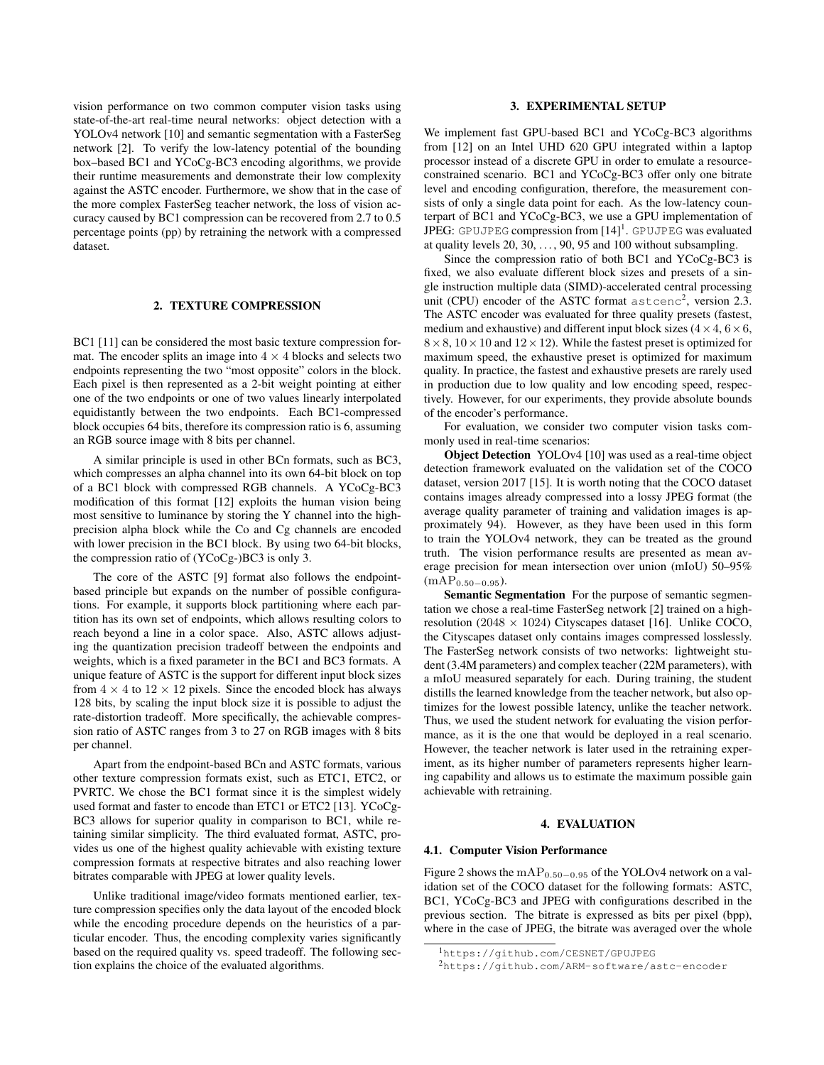vision performance on two common computer vision tasks using state-of-the-art real-time neural networks: object detection with a YOLOv4 network [10] and semantic segmentation with a FasterSeg network [2]. To verify the low-latency potential of the bounding box–based BC1 and YCoCg-BC3 encoding algorithms, we provide their runtime measurements and demonstrate their low complexity against the ASTC encoder. Furthermore, we show that in the case of the more complex FasterSeg teacher network, the loss of vision accuracy caused by BC1 compression can be recovered from 2.7 to 0.5 percentage points (pp) by retraining the network with a compressed dataset.

# 2. TEXTURE COMPRESSION

BC1 [11] can be considered the most basic texture compression format. The encoder splits an image into  $4 \times 4$  blocks and selects two endpoints representing the two "most opposite" colors in the block. Each pixel is then represented as a 2-bit weight pointing at either one of the two endpoints or one of two values linearly interpolated equidistantly between the two endpoints. Each BC1-compressed block occupies 64 bits, therefore its compression ratio is 6, assuming an RGB source image with 8 bits per channel.

A similar principle is used in other BCn formats, such as BC3, which compresses an alpha channel into its own 64-bit block on top of a BC1 block with compressed RGB channels. A YCoCg-BC3 modification of this format [12] exploits the human vision being most sensitive to luminance by storing the Y channel into the highprecision alpha block while the Co and Cg channels are encoded with lower precision in the BC1 block. By using two 64-bit blocks, the compression ratio of (YCoCg-)BC3 is only 3.

The core of the ASTC [9] format also follows the endpointbased principle but expands on the number of possible configurations. For example, it supports block partitioning where each partition has its own set of endpoints, which allows resulting colors to reach beyond a line in a color space. Also, ASTC allows adjusting the quantization precision tradeoff between the endpoints and weights, which is a fixed parameter in the BC1 and BC3 formats. A unique feature of ASTC is the support for different input block sizes from  $4 \times 4$  to  $12 \times 12$  pixels. Since the encoded block has always 128 bits, by scaling the input block size it is possible to adjust the rate-distortion tradeoff. More specifically, the achievable compression ratio of ASTC ranges from 3 to 27 on RGB images with 8 bits per channel.

Apart from the endpoint-based BCn and ASTC formats, various other texture compression formats exist, such as ETC1, ETC2, or PVRTC. We chose the BC1 format since it is the simplest widely used format and faster to encode than ETC1 or ETC2 [13]. YCoCg-BC3 allows for superior quality in comparison to BC1, while retaining similar simplicity. The third evaluated format, ASTC, provides us one of the highest quality achievable with existing texture compression formats at respective bitrates and also reaching lower bitrates comparable with JPEG at lower quality levels.

Unlike traditional image/video formats mentioned earlier, texture compression specifies only the data layout of the encoded block while the encoding procedure depends on the heuristics of a particular encoder. Thus, the encoding complexity varies significantly based on the required quality vs. speed tradeoff. The following section explains the choice of the evaluated algorithms.

### 3. EXPERIMENTAL SETUP

We implement fast GPU-based BC1 and YCoCg-BC3 algorithms from [12] on an Intel UHD 620 GPU integrated within a laptop processor instead of a discrete GPU in order to emulate a resourceconstrained scenario. BC1 and YCoCg-BC3 offer only one bitrate level and encoding configuration, therefore, the measurement consists of only a single data point for each. As the low-latency counterpart of BC1 and YCoCg-BC3, we use a GPU implementation of JPEG: GPUJPEG compression from  $\left[14\right]^1$ . GPUJPEG was evaluated at quality levels  $20, 30, \ldots, 90, 95$  and  $100$  without subsampling.

Since the compression ratio of both BC1 and YCoCg-BC3 is fixed, we also evaluate different block sizes and presets of a single instruction multiple data (SIMD)-accelerated central processing unit (CPU) encoder of the ASTC format  $a$ stcenc<sup>2</sup>, version 2.3. The ASTC encoder was evaluated for three quality presets (fastest, medium and exhaustive) and different input block sizes ( $4 \times 4$ ,  $6 \times 6$ ,  $8 \times 8$ ,  $10 \times 10$  and  $12 \times 12$ ). While the fastest preset is optimized for maximum speed, the exhaustive preset is optimized for maximum quality. In practice, the fastest and exhaustive presets are rarely used in production due to low quality and low encoding speed, respectively. However, for our experiments, they provide absolute bounds of the encoder's performance.

For evaluation, we consider two computer vision tasks commonly used in real-time scenarios:

Object Detection YOLOv4 [10] was used as a real-time object detection framework evaluated on the validation set of the COCO dataset, version 2017 [15]. It is worth noting that the COCO dataset contains images already compressed into a lossy JPEG format (the average quality parameter of training and validation images is approximately 94). However, as they have been used in this form to train the YOLOv4 network, they can be treated as the ground truth. The vision performance results are presented as mean average precision for mean intersection over union (mIoU) 50–95%  $(mAP_{0.50-0.95}).$ 

Semantic Segmentation For the purpose of semantic segmentation we chose a real-time FasterSeg network [2] trained on a highresolution (2048  $\times$  1024) Cityscapes dataset [16]. Unlike COCO, the Cityscapes dataset only contains images compressed losslessly. The FasterSeg network consists of two networks: lightweight student (3.4M parameters) and complex teacher (22M parameters), with a mIoU measured separately for each. During training, the student distills the learned knowledge from the teacher network, but also optimizes for the lowest possible latency, unlike the teacher network. Thus, we used the student network for evaluating the vision performance, as it is the one that would be deployed in a real scenario. However, the teacher network is later used in the retraining experiment, as its higher number of parameters represents higher learning capability and allows us to estimate the maximum possible gain achievable with retraining.

### 4. EVALUATION

### 4.1. Computer Vision Performance

Figure 2 shows the mAP0.50−0.<sup>95</sup> of the YOLOv4 network on a validation set of the COCO dataset for the following formats: ASTC, BC1, YCoCg-BC3 and JPEG with configurations described in the previous section. The bitrate is expressed as bits per pixel (bpp), where in the case of JPEG, the bitrate was averaged over the whole

<sup>1</sup>https://github.com/CESNET/GPUJPEG

<sup>2</sup>https://github.com/ARM-software/astc-encoder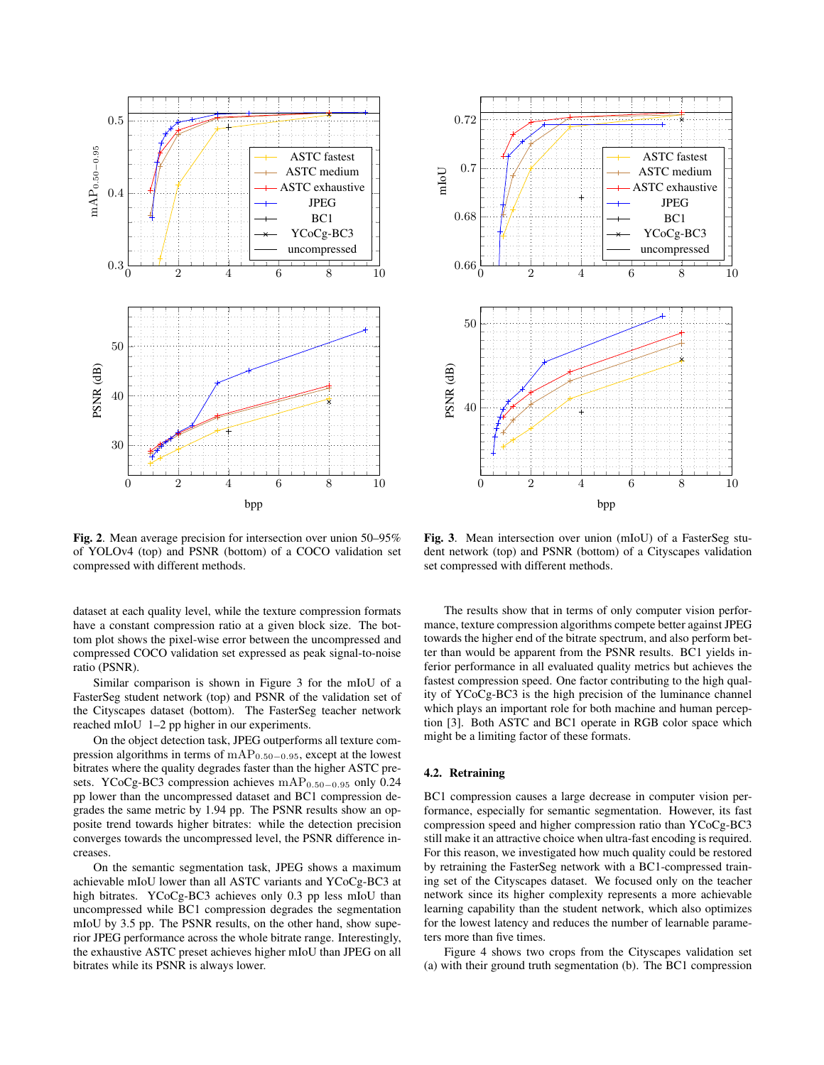

Fig. 2. Mean average precision for intersection over union 50–95% of YOLOv4 (top) and PSNR (bottom) of a COCO validation set compressed with different methods.

dataset at each quality level, while the texture compression formats have a constant compression ratio at a given block size. The bottom plot shows the pixel-wise error between the uncompressed and compressed COCO validation set expressed as peak signal-to-noise ratio (PSNR).

Similar comparison is shown in Figure 3 for the mIoU of a FasterSeg student network (top) and PSNR of the validation set of the Cityscapes dataset (bottom). The FasterSeg teacher network reached mIoU 1–2 pp higher in our experiments.

On the object detection task, JPEG outperforms all texture compression algorithms in terms of mAP0.50−0.95, except at the lowest bitrates where the quality degrades faster than the higher ASTC presets. YCoCg-BC3 compression achieves mAP<sub>0.50−0.95</sub> only 0.24 pp lower than the uncompressed dataset and BC1 compression degrades the same metric by 1.94 pp. The PSNR results show an opposite trend towards higher bitrates: while the detection precision converges towards the uncompressed level, the PSNR difference increases.

On the semantic segmentation task, JPEG shows a maximum achievable mIoU lower than all ASTC variants and YCoCg-BC3 at high bitrates. YCoCg-BC3 achieves only 0.3 pp less mIoU than uncompressed while BC1 compression degrades the segmentation mIoU by 3.5 pp. The PSNR results, on the other hand, show superior JPEG performance across the whole bitrate range. Interestingly, the exhaustive ASTC preset achieves higher mIoU than JPEG on all bitrates while its PSNR is always lower.



Fig. 3. Mean intersection over union (mIoU) of a FasterSeg student network (top) and PSNR (bottom) of a Cityscapes validation set compressed with different methods.

The results show that in terms of only computer vision performance, texture compression algorithms compete better against JPEG towards the higher end of the bitrate spectrum, and also perform better than would be apparent from the PSNR results. BC1 yields inferior performance in all evaluated quality metrics but achieves the fastest compression speed. One factor contributing to the high quality of YCoCg-BC3 is the high precision of the luminance channel which plays an important role for both machine and human perception [3]. Both ASTC and BC1 operate in RGB color space which might be a limiting factor of these formats.

#### 4.2. Retraining

BC1 compression causes a large decrease in computer vision performance, especially for semantic segmentation. However, its fast compression speed and higher compression ratio than YCoCg-BC3 still make it an attractive choice when ultra-fast encoding is required. For this reason, we investigated how much quality could be restored by retraining the FasterSeg network with a BC1-compressed training set of the Cityscapes dataset. We focused only on the teacher network since its higher complexity represents a more achievable learning capability than the student network, which also optimizes for the lowest latency and reduces the number of learnable parameters more than five times.

Figure 4 shows two crops from the Cityscapes validation set (a) with their ground truth segmentation (b). The BC1 compression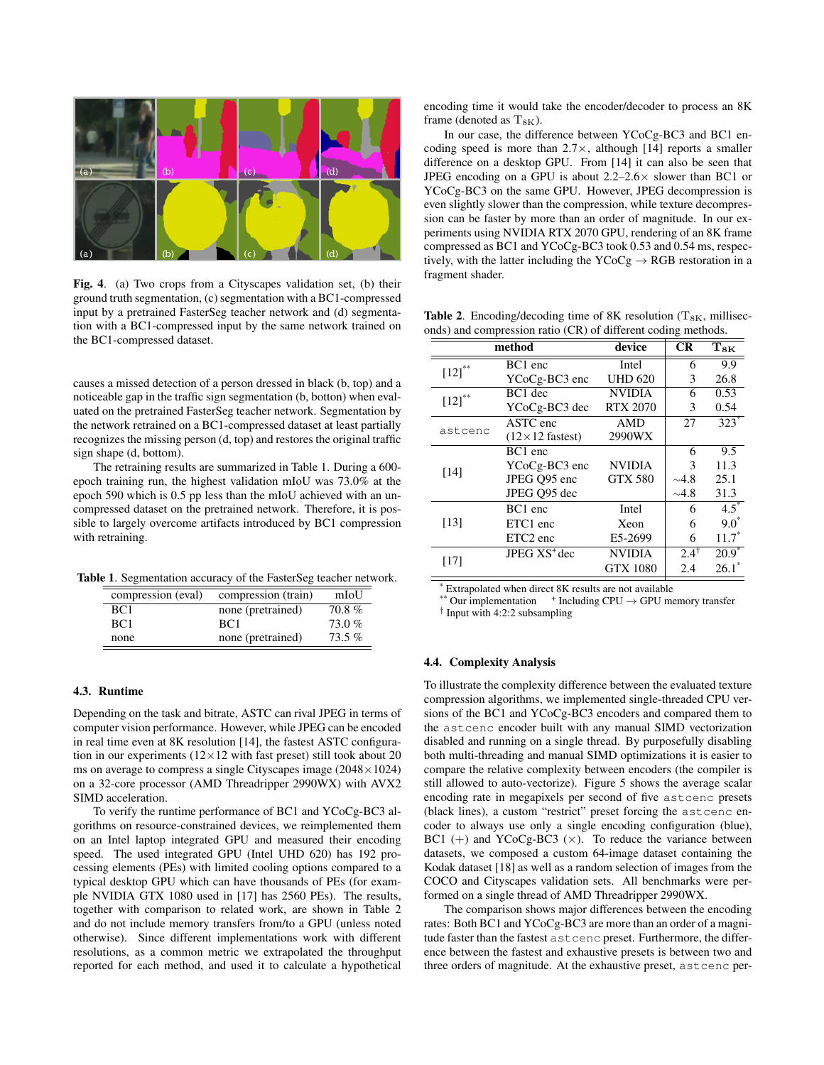

Fig. 4. (a) Two crops from a Cityscapes validation set, (b) their ground truth segmentation, (c) segmentation with a BC1-compressed input by a pretrained FasterSeg teacher network and (d) segmentation with a BC1-compressed input by the same network trained on the BC1-compressed dataset.

causes a missed detection of a person dressed in black (b, top) and a noticeable gap in the traffic sign segmentation (b, botton) when evaluated on the pretrained FasterSeg teacher network. Segmentation by the network retrained on a BC1-compressed dataset at least partially recognizes the missing person (d, top) and restores the original traffic sign shape (d, bottom).

The retraining results are summarized in Table 1. During a 600 epoch training run, the highest validation mIoU was 73.0% at the epoch 590 which is 0.5 pp less than the mIoU achieved with an uncompressed dataset on the pretrained network. Therefore, it is possible to largely overcome artifacts introduced by BC1 compression with retraining.

Table 1. Segmentation accuracy of the FasterSeg teacher network.

| compression (eval) | compression (train) | mIoU     |
|--------------------|---------------------|----------|
| BC <sub>1</sub>    | none (pretrained)   | 70.8 %   |
| BC1                | BC1                 | $73.0\%$ |
| none               | none (pretrained)   | $73.5\%$ |

### 4.3. Runtime

Depending on the task and bitrate, ASTC can rival JPEG in terms of computer vision performance. However, while JPEG can be encoded in real time even at 8K resolution [14], the fastest ASTC configuration in our experiments ( $12 \times 12$  with fast preset) still took about 20 ms on average to compress a single Cityscapes image (2048×1024) on a 32-core processor (AMD Threadripper 2990WX) with AVX2 SIMD acceleration.

To verify the runtime performance of BC1 and YCoCg-BC3 algorithms on resource-constrained devices, we reimplemented them on an Intel laptop integrated GPU and measured their encoding speed. The used integrated GPU (Intel UHD 620) has 192 processing elements (PEs) with limited cooling options compared to a typical desktop GPU which can have thousands of PEs (for example NVIDIA GTX 1080 used in [17] has 2560 PEs). The results, together with comparison to related work, are shown in Table 2 and do not include memory transfers from/to a GPU (unless noted otherwise). Since different implementations work with different resolutions, as a common metric we extrapolated the throughput reported for each method, and used it to calculate a hypothetical

encoding time it would take the encoder/decoder to process an 8K frame (denoted as  $T_{8K}$ ).

In our case, the difference between YCoCg-BC3 and BC1 encoding speed is more than  $2.7\times$ , although [14] reports a smaller difference on a desktop GPU. From [14] it can also be seen that JPEG encoding on a GPU is about  $2.2-2.6\times$  slower than BC1 or YCoCg-BC3 on the same GPU. However, JPEG decompression is even slightly slower than the compression, while texture decompression can be faster by more than an order of magnitude. In our experiments using NVIDIA RTX 2070 GPU, rendering of an 8K frame compressed as BC1 and YCoCg-BC3 took 0.53 and 0.54 ms, respectively, with the latter including the  $YCoCg \rightarrow RGB$  restoration in a fragment shader.

**Table 2.** Encoding/decoding time of 8K resolution  $(T_{8K},$  milliseconds) and compression ratio (CR) of different coding methods.

|                                  | method                 | device          | <b>CR</b>       | $T_{8K}$            |
|----------------------------------|------------------------|-----------------|-----------------|---------------------|
| $\left[ 12\right] ^{\ast \ast }$ | BC1 enc                | Intel           | 6               | 9.9                 |
|                                  | YCoCg-BC3 enc          | <b>UHD 620</b>  | 3               | 26.8                |
| $[12]^{**}$                      | BC1 dec                | <b>NVIDIA</b>   | 6               | 0.53                |
|                                  | YCoCg-BC3 dec          | <b>RTX 2070</b> | 3               | 0.54                |
| astcenc                          | ASTC enc               | AMD             | 27              | $323*$              |
|                                  | $(12\times12$ fastest) | 2990WX          |                 |                     |
| [14]                             | BC1 enc                |                 | 6               | 9.5                 |
|                                  | YCoCg-BC3 enc          | <b>NVIDIA</b>   | 3               | 11.3                |
|                                  | JPEG Q95 enc           | <b>GTX 580</b>  | $\sim$ 4.8      | 25.1                |
|                                  | JPEG Q95 dec           |                 | $\sim 4.8$      | 31.3                |
| [13]                             | BC <sub>1</sub> enc    | Intel           | 6               | $4.5^{*}$           |
|                                  | ETC1 enc               | Xeon            | 6               | $9.0*$              |
|                                  | ETC <sub>2</sub> enc   | E5-2699         | 6               | $11.7*$             |
| [17]                             | $JPEG XS+ dec$         | <b>NVIDIA</b>   | $2.4^{\dagger}$ | $20.\overline{9}^*$ |
|                                  |                        | <b>GTX 1080</b> | 2.4             | $26.1*$             |

Extrapolated when direct 8K results are not available

\*\* Our implementation  $^+$  Including CPU  $\rightarrow$  GPU memory transfer

† Input with 4:2:2 subsampling

## 4.4. Complexity Analysis

To illustrate the complexity difference between the evaluated texture compression algorithms, we implemented single-threaded CPU versions of the BC1 and YCoCg-BC3 encoders and compared them to the astcenc encoder built with any manual SIMD vectorization disabled and running on a single thread. By purposefully disabling both multi-threading and manual SIMD optimizations it is easier to compare the relative complexity between encoders (the compiler is still allowed to auto-vectorize). Figure 5 shows the average scalar encoding rate in megapixels per second of five astcenc presets (black lines), a custom "restrict" preset forcing the astcenc encoder to always use only a single encoding configuration (blue),  $BC1 (+)$  and  $YCoCg-BC3 (x)$ . To reduce the variance between datasets, we composed a custom 64-image dataset containing the Kodak dataset [18] as well as a random selection of images from the COCO and Cityscapes validation sets. All benchmarks were performed on a single thread of AMD Threadripper 2990WX.

The comparison shows major differences between the encoding rates: Both BC1 and YCoCg-BC3 are more than an order of a magnitude faster than the fastest astcenc preset. Furthermore, the difference between the fastest and exhaustive presets is between two and three orders of magnitude. At the exhaustive preset, astcenc per-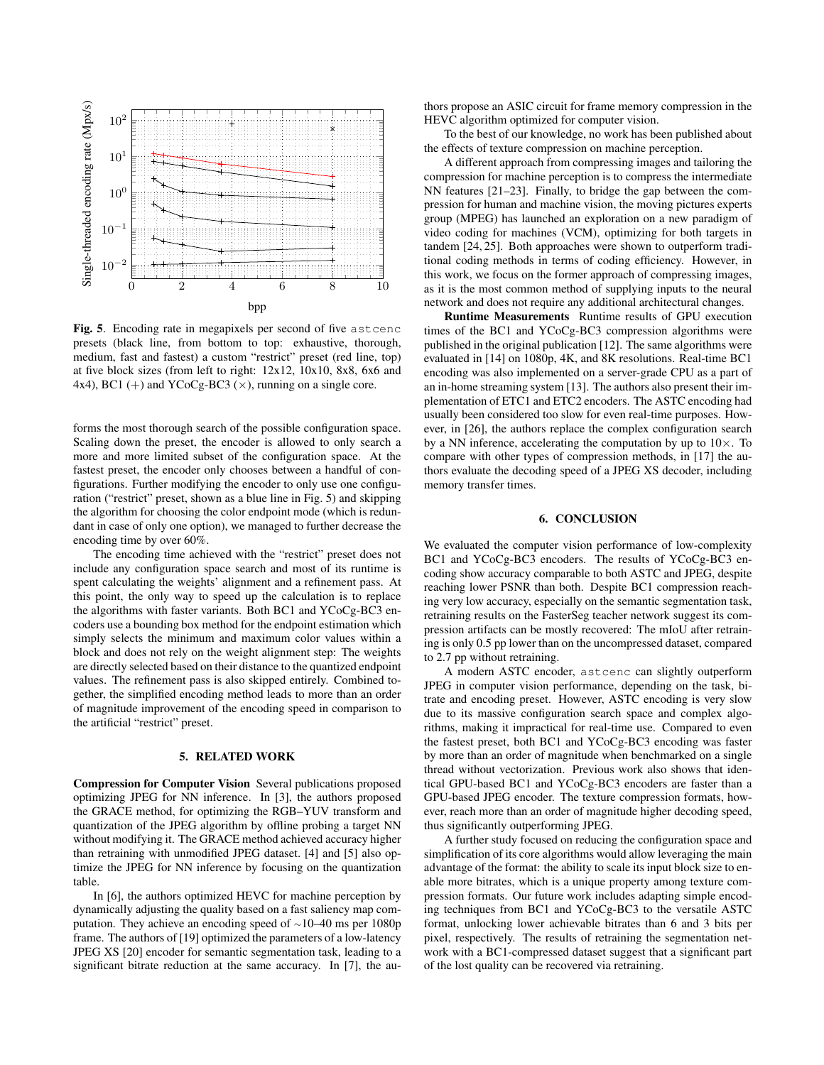

Fig. 5. Encoding rate in megapixels per second of five astcenc presets (black line, from bottom to top: exhaustive, thorough, medium, fast and fastest) a custom "restrict" preset (red line, top) at five block sizes (from left to right: 12x12, 10x10, 8x8, 6x6 and 4x4), BC1 (+) and YCoCg-BC3 ( $\times$ ), running on a single core.

forms the most thorough search of the possible configuration space. Scaling down the preset, the encoder is allowed to only search a more and more limited subset of the configuration space. At the fastest preset, the encoder only chooses between a handful of configurations. Further modifying the encoder to only use one configuration ("restrict" preset, shown as a blue line in Fig. 5) and skipping the algorithm for choosing the color endpoint mode (which is redundant in case of only one option), we managed to further decrease the encoding time by over 60%.

The encoding time achieved with the "restrict" preset does not include any configuration space search and most of its runtime is spent calculating the weights' alignment and a refinement pass. At this point, the only way to speed up the calculation is to replace the algorithms with faster variants. Both BC1 and YCoCg-BC3 encoders use a bounding box method for the endpoint estimation which simply selects the minimum and maximum color values within a block and does not rely on the weight alignment step: The weights are directly selected based on their distance to the quantized endpoint values. The refinement pass is also skipped entirely. Combined together, the simplified encoding method leads to more than an order of magnitude improvement of the encoding speed in comparison to the artificial "restrict" preset.

# 5. RELATED WORK

Compression for Computer Vision Several publications proposed optimizing JPEG for NN inference. In [3], the authors proposed the GRACE method, for optimizing the RGB–YUV transform and quantization of the JPEG algorithm by offline probing a target NN without modifying it. The GRACE method achieved accuracy higher than retraining with unmodified JPEG dataset. [4] and [5] also optimize the JPEG for NN inference by focusing on the quantization table.

In [6], the authors optimized HEVC for machine perception by dynamically adjusting the quality based on a fast saliency map computation. They achieve an encoding speed of <sup>∼</sup>10–40 ms per 1080p frame. The authors of [19] optimized the parameters of a low-latency JPEG XS [20] encoder for semantic segmentation task, leading to a significant bitrate reduction at the same accuracy. In [7], the authors propose an ASIC circuit for frame memory compression in the HEVC algorithm optimized for computer vision.

To the best of our knowledge, no work has been published about the effects of texture compression on machine perception.

A different approach from compressing images and tailoring the compression for machine perception is to compress the intermediate NN features [21–23]. Finally, to bridge the gap between the compression for human and machine vision, the moving pictures experts group (MPEG) has launched an exploration on a new paradigm of video coding for machines (VCM), optimizing for both targets in tandem [24, 25]. Both approaches were shown to outperform traditional coding methods in terms of coding efficiency. However, in this work, we focus on the former approach of compressing images, as it is the most common method of supplying inputs to the neural network and does not require any additional architectural changes.

Runtime Measurements Runtime results of GPU execution times of the BC1 and YCoCg-BC3 compression algorithms were published in the original publication [12]. The same algorithms were evaluated in [14] on 1080p, 4K, and 8K resolutions. Real-time BC1 encoding was also implemented on a server-grade CPU as a part of an in-home streaming system [13]. The authors also present their implementation of ETC1 and ETC2 encoders. The ASTC encoding had usually been considered too slow for even real-time purposes. However, in [26], the authors replace the complex configuration search by a NN inference, accelerating the computation by up to  $10\times$ . To compare with other types of compression methods, in [17] the authors evaluate the decoding speed of a JPEG XS decoder, including memory transfer times.

# 6. CONCLUSION

We evaluated the computer vision performance of low-complexity BC1 and YCoCg-BC3 encoders. The results of YCoCg-BC3 encoding show accuracy comparable to both ASTC and JPEG, despite reaching lower PSNR than both. Despite BC1 compression reaching very low accuracy, especially on the semantic segmentation task, retraining results on the FasterSeg teacher network suggest its compression artifacts can be mostly recovered: The mIoU after retraining is only 0.5 pp lower than on the uncompressed dataset, compared to 2.7 pp without retraining.

A modern ASTC encoder, astcenc can slightly outperform JPEG in computer vision performance, depending on the task, bitrate and encoding preset. However, ASTC encoding is very slow due to its massive configuration search space and complex algorithms, making it impractical for real-time use. Compared to even the fastest preset, both BC1 and YCoCg-BC3 encoding was faster by more than an order of magnitude when benchmarked on a single thread without vectorization. Previous work also shows that identical GPU-based BC1 and YCoCg-BC3 encoders are faster than a GPU-based JPEG encoder. The texture compression formats, however, reach more than an order of magnitude higher decoding speed, thus significantly outperforming JPEG.

A further study focused on reducing the configuration space and simplification of its core algorithms would allow leveraging the main advantage of the format: the ability to scale its input block size to enable more bitrates, which is a unique property among texture compression formats. Our future work includes adapting simple encoding techniques from BC1 and YCoCg-BC3 to the versatile ASTC format, unlocking lower achievable bitrates than 6 and 3 bits per pixel, respectively. The results of retraining the segmentation network with a BC1-compressed dataset suggest that a significant part of the lost quality can be recovered via retraining.